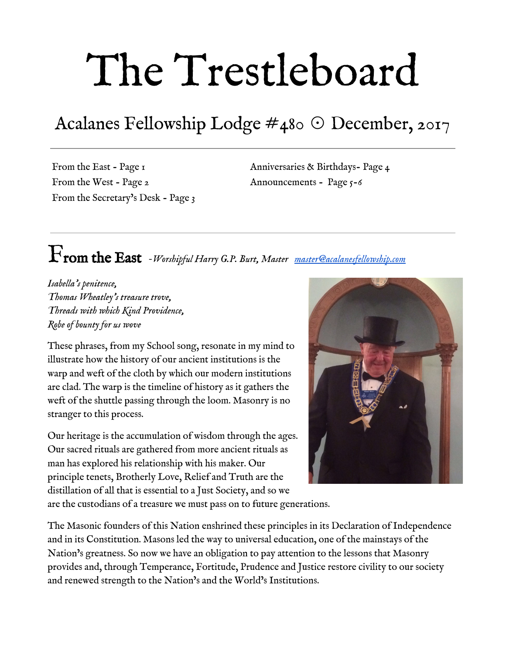# The Trestleboard

## Acalanes Fellowship Lodge #480 ☉ December, 2017

From the East - Page 1 From the West - Page 2 From the Secretary's Desk - Page <sup>3</sup> Anniversaries & Birthdays- Page 4 Announcements - Page 5-6

### From the East *-Worshipful Harry G.P. Burt, Master [master@acalanesfellowship.com](mailto:master@acalanesfellowship.com)*

*Isabella's penitence, Thomas Wheatley's treasure trove, Threads with which Kind Providence, Robe of bounty for us wove*

These phrases, from my School song, resonate in my mind to illustrate how the history of our ancient institutions is the warp and weft of the cloth by which our modern institutions are clad. The warp is the timeline of history as it gathers the weft of the shuttle passing through the loom. Masonry is no stranger to this process.

Our heritage is the accumulation of wisdom through the ages. Our sacred rituals are gathered from more ancient rituals as man has explored his relationship with his maker. Our principle tenets, Brotherly Love, Relief and Truth are the distillation of all that is essential to a Just Society, and so we



are the custodians of a treasure we must pass on to future generations.

The Masonic founders of this Nation enshrined these principles in its Declaration of Independence and in its Constitution. Masons led the way to universal education, one of the mainstays of the Nation's greatness. So now we have an obligation to pay attention to the lessons that Masonry provides and, through Temperance, Fortitude, Prudence and Justice restore civility to our society and renewed strength to the Nation's and the World's Institutions.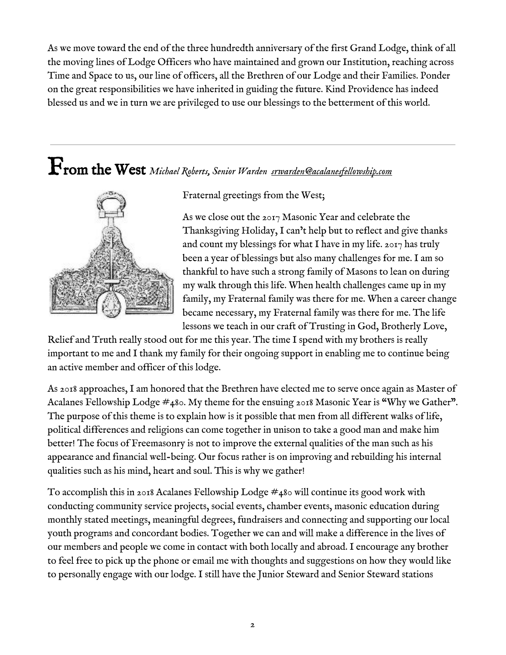As we move toward the end of the three hundredth anniversary of the first Grand Lodge, think of all the moving lines of Lodge Officers who have maintained and grown our Institution, reaching across Time and Space to us, our line of officers, all the Brethren of our Lodge and their Families. Ponder on the great responsibilities we have inherited in guiding the future. Kind Providence has indeed blessed us and we in turn we are privileged to use our blessings to the betterment of this world.

## From the West *Michael Roberts, Senior Warden [srwarden@acalanesfellowship.com](mailto:srwarden@acalanesfellowship.com)*



Fraternal greetings from the West;

As we close out the 2017 Masonic Year and celebrate the Thanksgiving Holiday, I can't help but to reflect and give thanks and count my blessings for what I have in my life.  $2017$  has truly been a year of blessings but also many challenges for me. I am so thankful to have such a strong family of Masons to lean on during my walk through this life. When health challenges came up in my family, my Fraternal family was there for me. When a career change became necessary, my Fraternal family was there for me. The life lessons we teach in our craft of Trusting in God, Brotherly Love,

Relief and Truth really stood out for me this year. The time I spend with my brothers is really important to me and I thank my family for their ongoing support in enabling me to continue being an active member and officer of this lodge.

As 2018 approaches, I am honored that the Brethren have elected me to serve once again as Master of Acalanes Fellowship Lodge #480. My theme for the ensuing 2018 Masonic Year is "Why we Gather". The purpose of this theme is to explain how is it possible that men from all different walks of life, political differences and religions can come together in unison to take a good man and make him better! The focus of Freemasonry is not to improve the external qualities of the man such as his appearance and financial well-being. Our focus rather is on improving and rebuilding his internal qualities such as his mind, heart and soul. This is why we gather!

To accomplish this in 2018 Acalanes Fellowship Lodge  $\#$ 480 will continue its good work with conducting community service projects, social events, chamber events, masonic education during monthly stated meetings, meaningful degrees, fundraisers and connecting and supporting our local youth programs and concordant bodies. Together we can and will make a difference in the lives of our members and people we come in contact with both locally and abroad. I encourage any brother to feel free to pick up the phone or email me with thoughts and suggestions on how they would like to personally engage with our lodge. I still have the Junior Steward and Senior Steward stations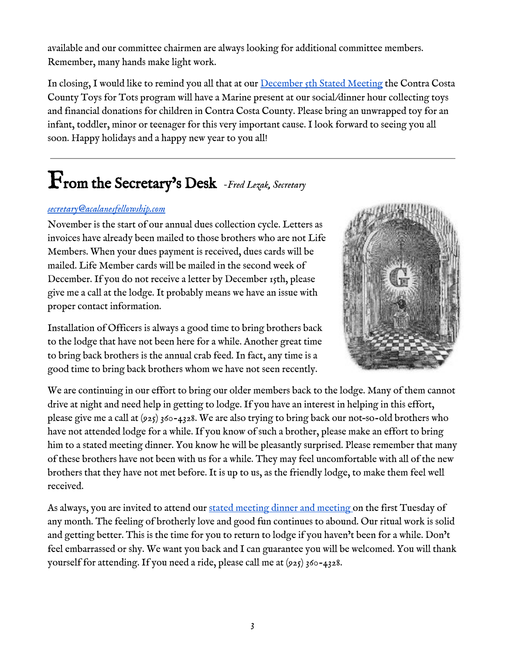available and our committee chairmen are always looking for additional committee members. Remember, many hands make light work.

In closing, I would like to remind you all that at our [December](https://www.eventbrite.com/e/december-2017-stated-meeting-dinner-registration-35269862107) 5th Stated Meeting the Contra Costa County Toys for Tots program will have a Marine present at our social/dinner hour collecting toys and financial donations for children in Contra Costa County. Please bring an unwrapped toy for an infant, toddler, minor or teenager for this very important cause. I look forward to seeing you all soon. Happy holidays and a happy new year to you all!

## From the Secretary's Desk *-Fred Lezak, Secretary*

#### *[secretary@acalanesfellowship.com](mailto:secretary@acalanesfellowship.com)*

November is the start of our annual dues collection cycle. Letters as invoices have already been mailed to those brothers who are not Life Members. When your dues payment is received, dues cards will be mailed. Life Member cards will be mailed in the second week of December. If you do not receive a letter by December 15th, please give me a call at the lodge. It probably means we have an issue with proper contact information.



Installation of Officers is always a good time to bring brothers back to the lodge that have not been here for a while. Another great time to bring back brothers is the annual crab feed. In fact, any time is a good time to bring back brothers whom we have not seen recently.

We are continuing in our effort to bring our older members back to the lodge. Many of them cannot drive at night and need help in getting to lodge. If you have an interest in helping in this effort, please give me a call at (925) 360-4328. We are also trying to bring back our not–so-old brothers who have not attended lodge for a while. If you know of such a brother, please make an effort to bring him to a stated meeting dinner. You know he will be pleasantly surprised. Please remember that many of these brothers have not been with us for a while. They may feel uncomfortable with all of the new brothers that they have not met before. It is up to us, as the friendly lodge, to make them feel well received.

As always, you are invited to attend our stated [meeting](https://www.eventbrite.com/e/december-2017-stated-meeting-dinner-registration-35269862107) dinner and meeting on the first Tuesday of any month. The feeling of brotherly love and good fun continues to abound. Our ritual work is solid and getting better. This is the time for you to return to lodge if you haven't been for a while. Don't feel embarrassed or shy. We want you back and I can guarantee you will be welcomed. You will thank yourself for attending. If you need a ride, please call me at (925) 360-4328.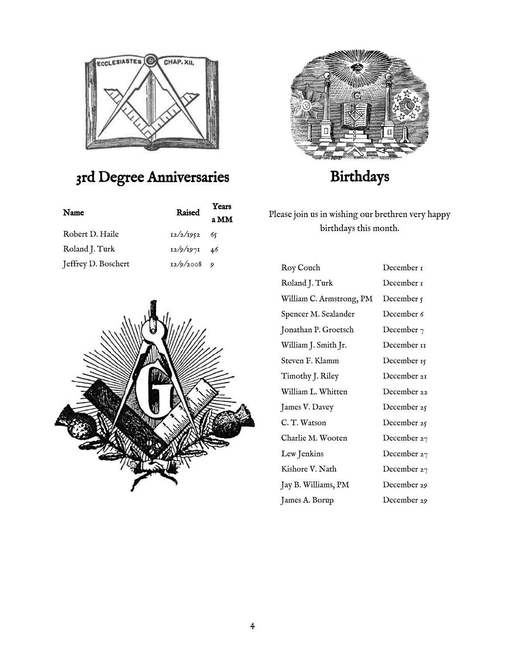

#### 3rd Degree Anniversaries

| Name                | Raised         | Years |
|---------------------|----------------|-------|
|                     |                | a MM  |
| Robert D. Haile     | $12/2/1952$ 65 |       |
| Roland J. Turk      | $12/9/1971$ 46 |       |
| Jeffrey D. Boschert | 12/9/2008      |       |





#### Birthdays

Please join us in wishing our brethren very happy birthdays this month.

| Roy Couch                | December 1    |
|--------------------------|---------------|
| Roland J. Turk           | December 1    |
| William C. Armstrong, PM | December 5    |
| Spencer M. Sealander     | December 6    |
| Jonathan P. Groetsch     | December $7$  |
| William J. Smith Jr.     | December II   |
| Steven F. Klamm          | December 15   |
| Timothy J. Riley         | December 21   |
| William L. Whitten       | December 22   |
| James V. Davey           | December 25   |
| C. T. Watson             | December 25   |
| Charlie M. Wooten        | December 27   |
| Lew Jenkins              | December 27   |
| Kishore V. Nath          | December $27$ |
| Jay B. Williams, PM      | December 29   |
| James A. Borup           | December 29   |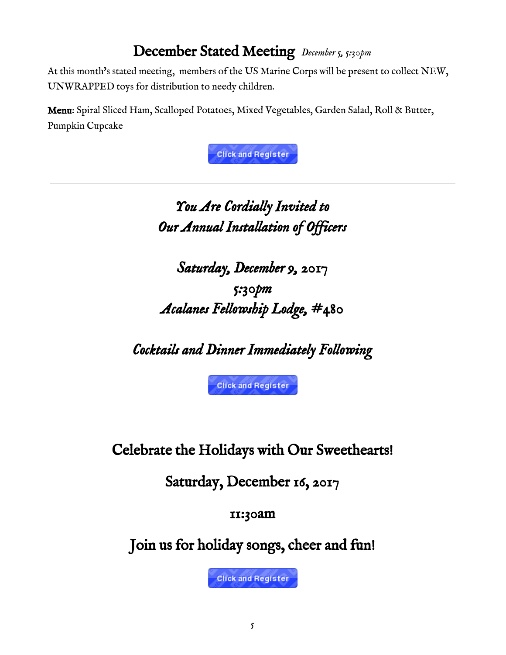#### December Stated Meeting *December 5, 5:30pm*

At this month's stated meeting, members of the US Marine Corps will be present to collect NEW, UNWRAPPED toys for distribution to needy children.

Menu: Spiral Sliced Ham, Scalloped Potatoes, Mixed Vegetables, Garden Salad, Roll & Butter, Pumpkin Cupcake

**Click and Register** 

#### *You Are Cordially Invited to Our Annual Installation of Officers*

*Saturday, December 9, 2017 5:30pm Acalanes Fellowship Lodge, #480* 

*Cocktails and Dinner Immediately Following* 

**Click and Register** 

Celebrate the Holidays with Our Sweethearts!

Saturday, December 16, 2017

11:30am

Join us for holiday songs, cheer and fun!

**Click and Register**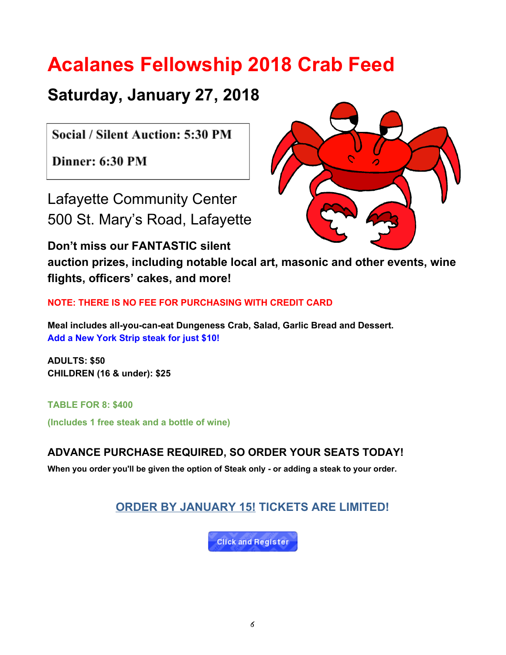## **Acalanes Fellowship 2018 Crab Feed**

#### **Saturday, January 27, 2018**

Social / Silent Auction: 5:30 PM

Dinner: 6:30 PM

Lafayette Community Center 500 St. Mary's Road, Lafayette

**Don't miss our FANTASTIC silent**



**auction prizes, including notable local art, masonic and other events, wine flights, officers' cakes, and more!**

**NOTE: THERE IS NO FEE FOR PURCHASING WITH CREDIT CARD**

**Meal includes all-you-can-eat Dungeness Crab, Salad, Garlic Bread and Dessert. Add a New York Strip steak for just \$10!**

**ADULTS: \$50 CHILDREN (16 & under): \$25**

**TABLE FOR 8: \$400 (Includes 1 free steak and a bottle of wine)**

**ADVANCE PURCHASE REQUIRED, SO ORDER YOUR SEATS TODAY!**

**When you order you'll be given the option of Steak only - or adding a steak to your order.**

#### **ORDER BY JANUARY 15! TICKETS ARE LIMITED!**

**Click and Register**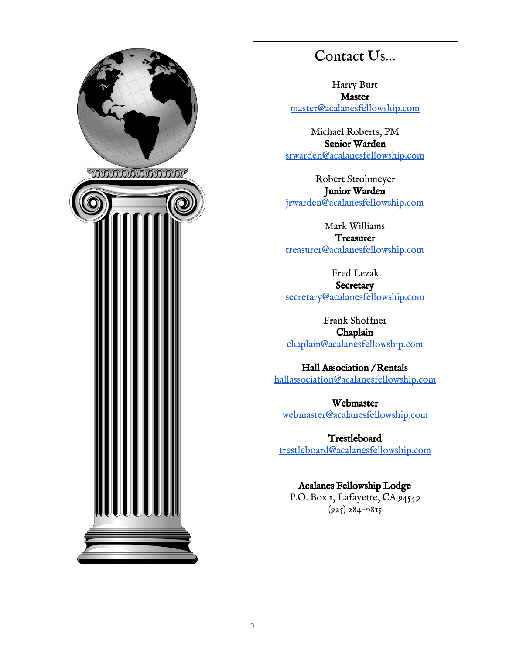

#### Contact Us…

Harry Burt Master [master@acalanesfellowship.com](mailto:master@acalanesfellowship.com)

Michael Roberts, PM Senior Warden [srwarden@acalanesfellowship.com](mailto:srwarden@acalanesfellowship.com)

Robert Strohmeyer Junior Warden [jrwarden@acalanesfellowship.com](mailto:jrwarden@acalanesfellowship.com)

Mark Williams **Treasurer** [treasurer@acalanesfellowship.com](mailto:treasurer@acalanesfellowship.com)

Fred Lezak **Secretary** [secretary@acalanesfellowship.com](mailto:secretary@acalanesfellowship.com)

Frank Shoffner Chaplain [chaplain@acalanesfellowship.com](mailto:chaplain@acalanesfellowship.com)

Hall Association / Rentals [hallassociation@acalanesfellowship.com](mailto:hallassociation@acalanesfellowship.com)

Webmaster [webmaster@acalanesfellowship.com](mailto:webmaster@acalanesfellowship.com)

Trestleboard [trestleboard@acalanesfellowship.com](mailto:trestleboard@acalanesfellowship.com)

#### Acalanes Fellowship Lodge

P.O. Box 1, Lafayette, CA 94549  $(925) 284 - 7815$